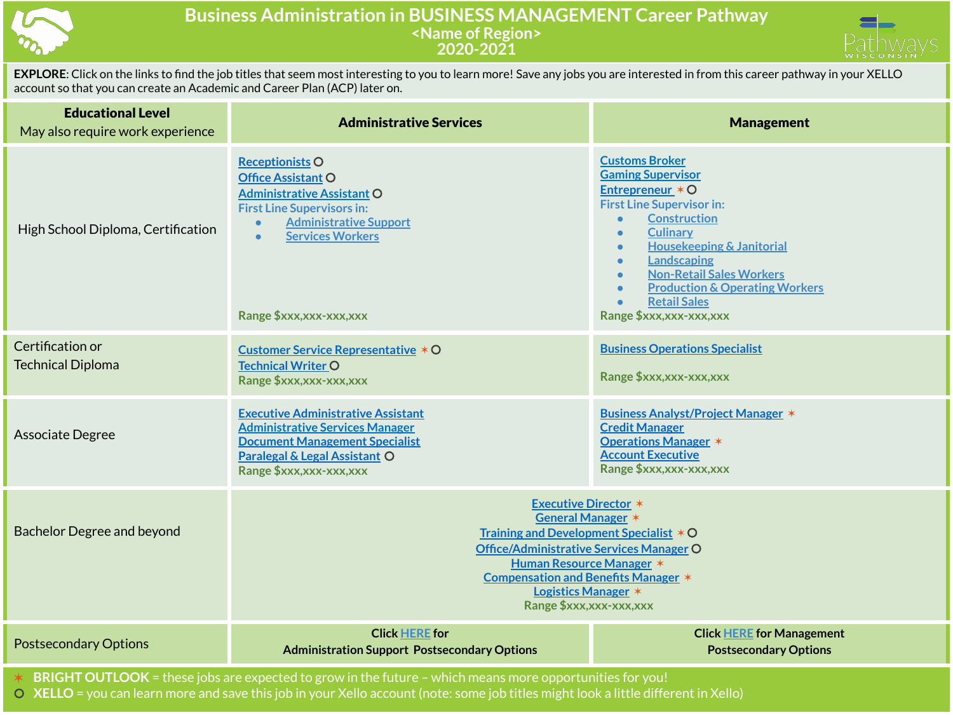

## **Business Administration in BUSINESS MANAGEMENT Career Pathway <Name of Region> 2020-2021**



**EXPLORE**: Click on the links to find the job titles that seem most interesting to you to learn more! Save any jobs you are interested in from this career pathway in your XELLO account so that you can create an Academic and Career Plan (ACP) later on.

| <b>Educational Level</b><br>May also require work experience                                             | <b>Administrative Services</b>                                                                                                                                                                                                                                      | <b>Management</b>                                                                                                                                                                                                                                                                                                                                                                                    |  |
|----------------------------------------------------------------------------------------------------------|---------------------------------------------------------------------------------------------------------------------------------------------------------------------------------------------------------------------------------------------------------------------|------------------------------------------------------------------------------------------------------------------------------------------------------------------------------------------------------------------------------------------------------------------------------------------------------------------------------------------------------------------------------------------------------|--|
| High School Diploma, Certification                                                                       | <b>Receptionists O</b><br><b>Office Assistant O</b><br><b>Administrative Assistant O</b><br><b>First Line Supervisors in:</b><br><b>Administrative Support</b><br><b>Services Workers</b><br>Range \$xxx, xxx-xxx, xxx                                              | <b>Customs Broker</b><br><b>Gaming Supervisor</b><br>Entrepreneur $*$ O<br><b>First Line Supervisor in:</b><br><b>Construction</b><br><b>Culinary</b><br>$\bullet$<br><b>Housekeeping &amp; Janitorial</b><br>$\bullet$<br>Landscaping<br>$\bullet$<br><b>Non-Retail Sales Workers</b><br>$\bullet$<br><b>Production &amp; Operating Workers</b><br><b>Retail Sales</b><br>Range \$xxx, xxx-xxx, xxx |  |
| Certification or<br><b>Technical Diploma</b>                                                             | Customer Service Representative * O<br><b>Technical Writer O</b><br>Range \$xxx, xxx-xxx, xxx                                                                                                                                                                       | <b>Business Operations Specialist</b><br>Range \$xxx, xxx-xxx, xxx                                                                                                                                                                                                                                                                                                                                   |  |
| Associate Degree                                                                                         | <b>Executive Administrative Assistant</b><br><b>Administrative Services Manager</b><br><b>Document Management Specialist</b><br><b>Paralegal &amp; Legal Assistant O</b><br>Range \$xxx, xxx-xxx, xxx                                                               | <b>Business Analyst/Project Manager *</b><br><b>Credit Manager</b><br><b>Operations Manager *</b><br><b>Account Executive</b><br>Range \$xxx, xxx-xxx, xxx                                                                                                                                                                                                                                           |  |
| <b>Bachelor Degree and beyond</b>                                                                        | <b>Executive Director *</b><br>General Manager *<br>Training and Development Specialist * O<br>Office/Administrative Services Manager O<br><b>Human Resource Manager *</b><br>Compensation and Benefits Manager *<br>Logistics Manager *<br>Range \$xxx,xxx-xxx,xxx |                                                                                                                                                                                                                                                                                                                                                                                                      |  |
| <b>Postsecondary Options</b>                                                                             | <b>Click HERE for</b><br><b>Administration Support Postsecondary Options</b>                                                                                                                                                                                        | <b>Click HERE for Management</b><br><b>Postsecondary Options</b>                                                                                                                                                                                                                                                                                                                                     |  |
| BRIGHT OUTLOOK = these jobs are expected to grow in the future - which means more opportunities for you! |                                                                                                                                                                                                                                                                     |                                                                                                                                                                                                                                                                                                                                                                                                      |  |

⚪ **XELLO** = you can learn more and save this job in your Xello account (note: some job titles might look a little different in Xello)